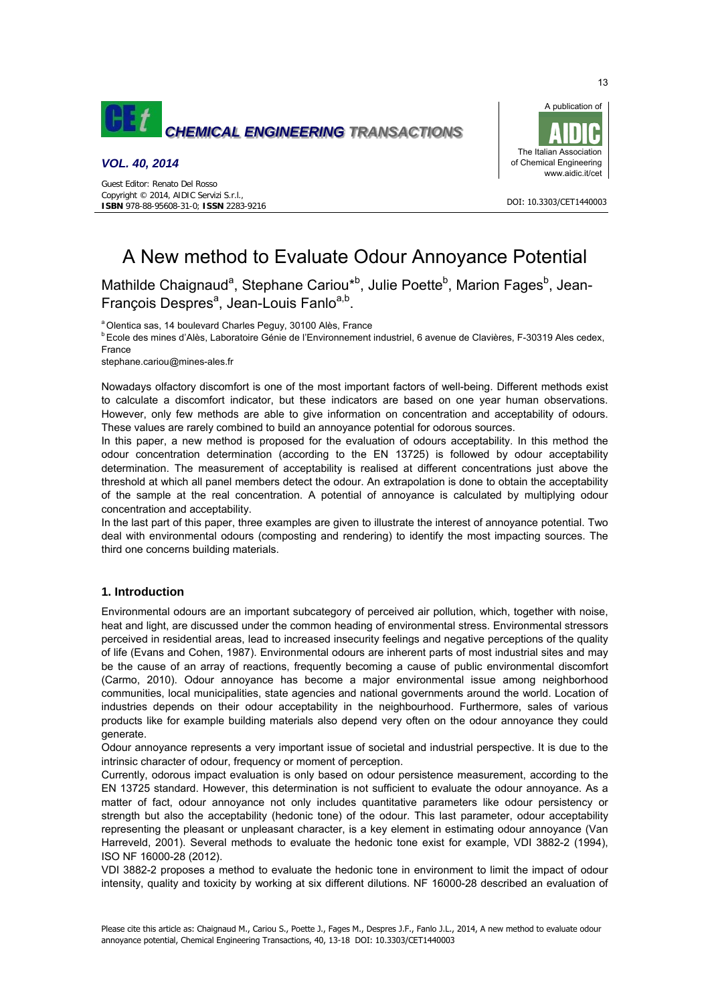

# *VOL. 40, 2014*



#### DOI: 10.3303/CET1440003

# A New method to Evaluate Odour Annoyance Potential

Mathilde Chaignaud<sup>a</sup>, Stephane Cariou<sup>\*b</sup>, Julie Poette<sup>b</sup>, Marion Fages<sup>b</sup>, Jean-François Despres<sup>a</sup>, Jean-Louis Fanlo<sup>a,b</sup>.

<sup>a</sup> Olentica sas, 14 boulevard Charles Peguy, 30100 Alès, France

b Ecole des mines d'Alès, Laboratoire Génie de l'Environnement industriel, 6 avenue de Clavières, F-30319 Ales cedex, France

stephane.cariou@mines-ales.fr

Nowadays olfactory discomfort is one of the most important factors of well-being. Different methods exist to calculate a discomfort indicator, but these indicators are based on one year human observations. However, only few methods are able to give information on concentration and acceptability of odours. These values are rarely combined to build an annoyance potential for odorous sources.

In this paper, a new method is proposed for the evaluation of odours acceptability. In this method the odour concentration determination (according to the EN 13725) is followed by odour acceptability determination. The measurement of acceptability is realised at different concentrations just above the threshold at which all panel members detect the odour. An extrapolation is done to obtain the acceptability of the sample at the real concentration. A potential of annoyance is calculated by multiplying odour concentration and acceptability.

In the last part of this paper, three examples are given to illustrate the interest of annoyance potential. Two deal with environmental odours (composting and rendering) to identify the most impacting sources. The third one concerns building materials.

# **1. Introduction**

Environmental odours are an important subcategory of perceived air pollution, which, together with noise, heat and light, are discussed under the common heading of environmental stress. Environmental stressors perceived in residential areas, lead to increased insecurity feelings and negative perceptions of the quality of life (Evans and Cohen, 1987). Environmental odours are inherent parts of most industrial sites and may be the cause of an array of reactions, frequently becoming a cause of public environmental discomfort (Carmo, 2010). Odour annoyance has become a major environmental issue among neighborhood communities, local municipalities, state agencies and national governments around the world. Location of industries depends on their odour acceptability in the neighbourhood. Furthermore, sales of various products like for example building materials also depend very often on the odour annoyance they could generate.

Odour annoyance represents a very important issue of societal and industrial perspective. It is due to the intrinsic character of odour, frequency or moment of perception.

Currently, odorous impact evaluation is only based on odour persistence measurement, according to the EN 13725 standard. However, this determination is not sufficient to evaluate the odour annoyance. As a matter of fact, odour annoyance not only includes quantitative parameters like odour persistency or strength but also the acceptability (hedonic tone) of the odour. This last parameter, odour acceptability representing the pleasant or unpleasant character, is a key element in estimating odour annoyance (Van Harreveld, 2001). Several methods to evaluate the hedonic tone exist for example, VDI 3882-2 (1994), ISO NF 16000-28 (2012).

VDI 3882-2 proposes a method to evaluate the hedonic tone in environment to limit the impact of odour intensity, quality and toxicity by working at six different dilutions. NF 16000-28 described an evaluation of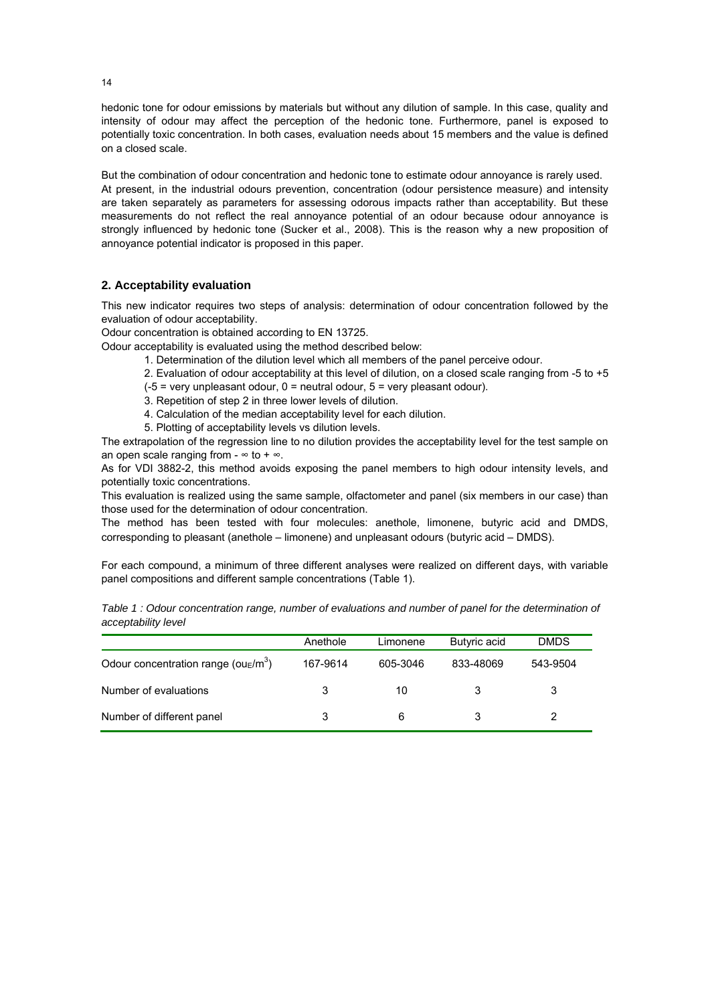hedonic tone for odour emissions by materials but without any dilution of sample. In this case, quality and intensity of odour may affect the perception of the hedonic tone. Furthermore, panel is exposed to potentially toxic concentration. In both cases, evaluation needs about 15 members and the value is defined on a closed scale.

But the combination of odour concentration and hedonic tone to estimate odour annoyance is rarely used. At present, in the industrial odours prevention, concentration (odour persistence measure) and intensity are taken separately as parameters for assessing odorous impacts rather than acceptability. But these measurements do not reflect the real annoyance potential of an odour because odour annoyance is strongly influenced by hedonic tone (Sucker et al., 2008). This is the reason why a new proposition of annoyance potential indicator is proposed in this paper.

# **2. Acceptability evaluation**

This new indicator requires two steps of analysis: determination of odour concentration followed by the evaluation of odour acceptability.

Odour concentration is obtained according to EN 13725.

Odour acceptability is evaluated using the method described below:

- 1. Determination of the dilution level which all members of the panel perceive odour.
- 2. Evaluation of odour acceptability at this level of dilution, on a closed scale ranging from -5 to +5  $(-5 = \text{very unpleasant odour}, 0 = \text{neutral odour}, 5 = \text{very pleasant odour}).$
- 3. Repetition of step 2 in three lower levels of dilution.
- 4. Calculation of the median acceptability level for each dilution.
- 5. Plotting of acceptability levels vs dilution levels.

The extrapolation of the regression line to no dilution provides the acceptability level for the test sample on an open scale ranging from -  $\infty$  to +  $\infty$ .

As for VDI 3882-2, this method avoids exposing the panel members to high odour intensity levels, and potentially toxic concentrations.

This evaluation is realized using the same sample, olfactometer and panel (six members in our case) than those used for the determination of odour concentration.

The method has been tested with four molecules: anethole, limonene, butyric acid and DMDS, corresponding to pleasant (anethole – limonene) and unpleasant odours (butyric acid – DMDS).

For each compound, a minimum of three different analyses were realized on different days, with variable panel compositions and different sample concentrations (Table 1).

*Table 1 : Odour concentration range, number of evaluations and number of panel for the determination of acceptability level*

|                                        | Anethole | Limonene | Butyric acid | <b>DMDS</b> |
|----------------------------------------|----------|----------|--------------|-------------|
| Odour concentration range ( $ouE/m3$ ) | 167-9614 | 605-3046 | 833-48069    | 543-9504    |
| Number of evaluations                  | 3        | 10       |              |             |
| Number of different panel              | 3        | 6        |              |             |

14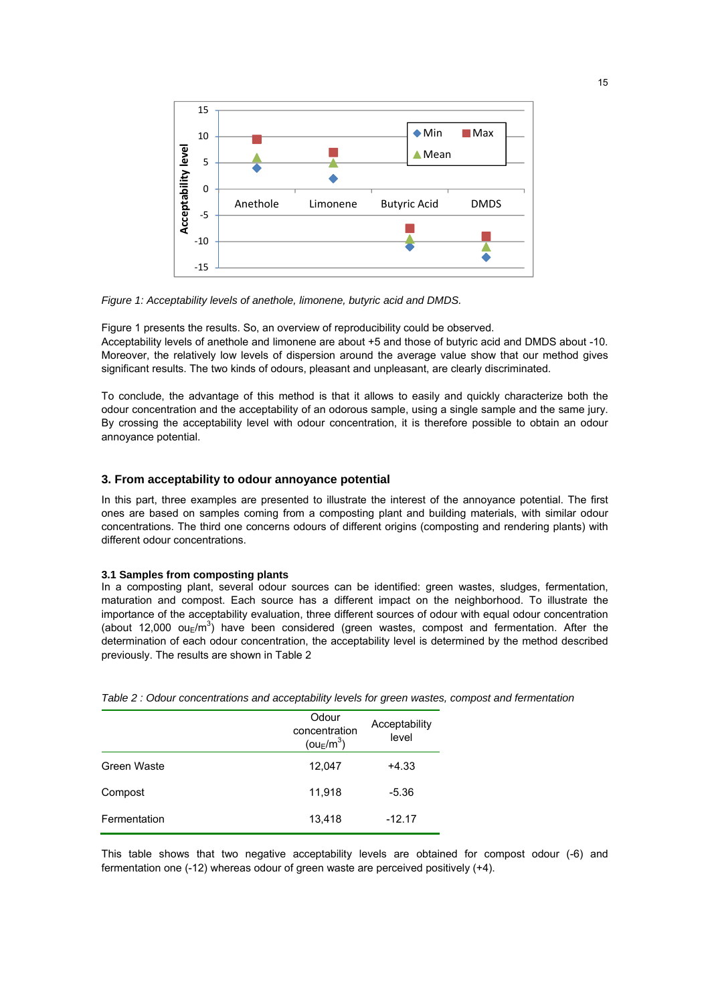

*Figure 1: Acceptability levels of anethole, limonene, butyric acid and DMDS.*

Figure 1 presents the results. So, an overview of reproducibility could be observed. Acceptability levels of anethole and limonene are about +5 and those of butyric acid and DMDS about -10. Moreover, the relatively low levels of dispersion around the average value show that our method gives significant results. The two kinds of odours, pleasant and unpleasant, are clearly discriminated.

To conclude, the advantage of this method is that it allows to easily and quickly characterize both the odour concentration and the acceptability of an odorous sample, using a single sample and the same jury. By crossing the acceptability level with odour concentration, it is therefore possible to obtain an odour annoyance potential.

# **3. From acceptability to odour annoyance potential**

In this part, three examples are presented to illustrate the interest of the annoyance potential. The first ones are based on samples coming from a composting plant and building materials, with similar odour concentrations. The third one concerns odours of different origins (composting and rendering plants) with different odour concentrations.

#### **3.1 Samples from composting plants**

In a composting plant, several odour sources can be identified: green wastes, sludges, fermentation, maturation and compost. Each source has a different impact on the neighborhood. To illustrate the importance of the acceptability evaluation, three different sources of odour with equal odour concentration (about 12,000 ou $\epsilon/m^3$ ) have been considered (green wastes, compost and fermentation. After the determination of each odour concentration, the acceptability level is determined by the method described previously. The results are shown in Table 2

|              | Odour<br>concentration<br>( $ou_E/m^3$ ) | Acceptability<br>level |
|--------------|------------------------------------------|------------------------|
| Green Waste  | 12,047                                   | $+4.33$                |
| Compost      | 11,918                                   | $-5.36$                |
| Fermentation | 13,418                                   | $-12.17$               |

*Table 2 : Odour concentrations and acceptability levels for green wastes, compost and fermentation*

This table shows that two negative acceptability levels are obtained for compost odour (-6) and fermentation one (-12) whereas odour of green waste are perceived positively (+4).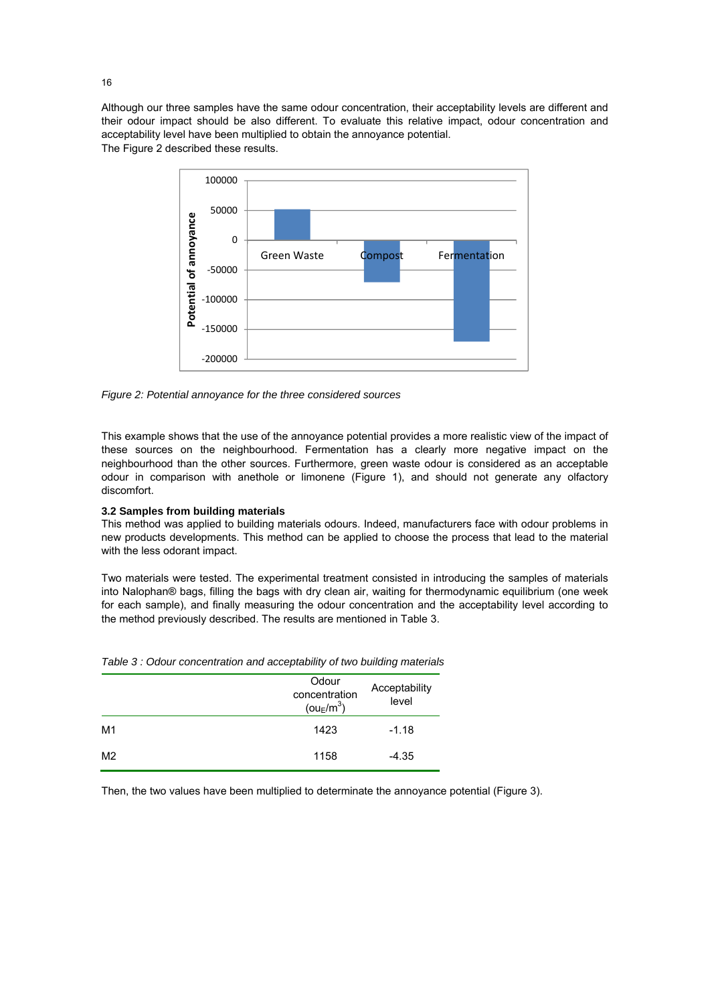Although our three samples have the same odour concentration, their acceptability levels are different and their odour impact should be also different. To evaluate this relative impact, odour concentration and acceptability level have been multiplied to obtain the annoyance potential. The Figure 2 described these results.



*Figure 2: Potential annoyance for the three considered sources*

This example shows that the use of the annoyance potential provides a more realistic view of the impact of these sources on the neighbourhood. Fermentation has a clearly more negative impact on the neighbourhood than the other sources. Furthermore, green waste odour is considered as an acceptable odour in comparison with anethole or limonene (Figure 1), and should not generate any olfactory discomfort.

## **3.2 Samples from building materials**

This method was applied to building materials odours. Indeed, manufacturers face with odour problems in new products developments. This method can be applied to choose the process that lead to the material with the less odorant impact.

Two materials were tested. The experimental treatment consisted in introducing the samples of materials into Nalophan® bags, filling the bags with dry clean air, waiting for thermodynamic equilibrium (one week for each sample), and finally measuring the odour concentration and the acceptability level according to the method previously described. The results are mentioned in Table 3.

|                | Odour<br>concentration<br>( $ou_E/m^3$ ) | Acceptability<br>level |
|----------------|------------------------------------------|------------------------|
| M1             | 1423                                     | $-1.18$                |
| M <sub>2</sub> | 1158                                     | $-4.35$                |

*Table 3 : Odour concentration and acceptability of two building materials*

Then, the two values have been multiplied to determinate the annoyance potential (Figure 3).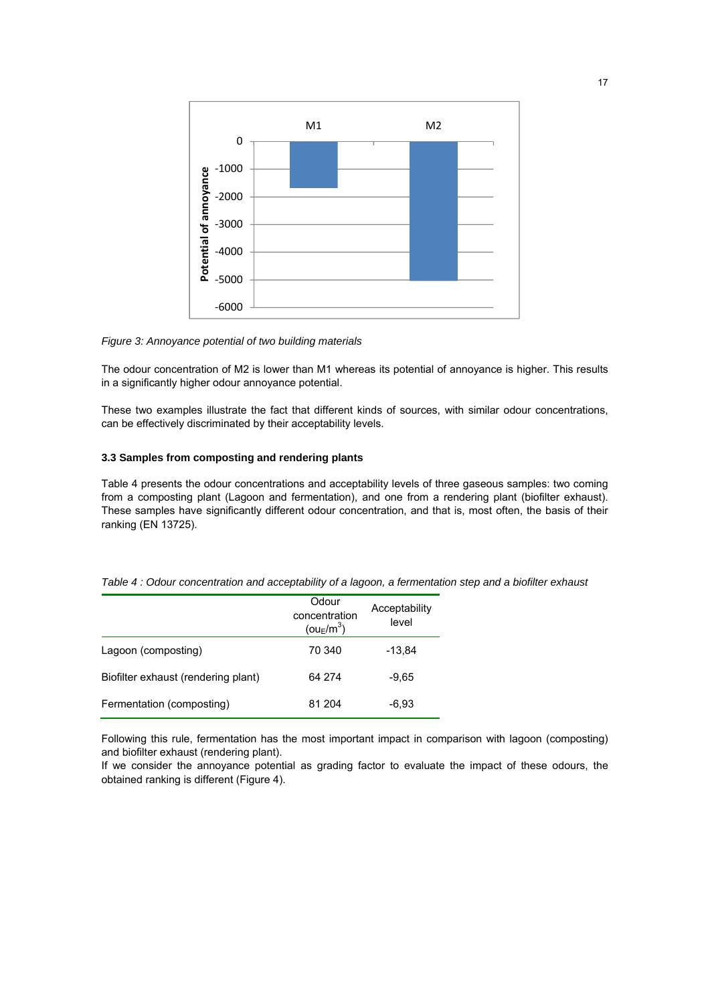

*Figure 3: Annoyance potential of two building materials*

The odour concentration of M2 is lower than M1 whereas its potential of annoyance is higher. This results in a significantly higher odour annoyance potential.

These two examples illustrate the fact that different kinds of sources, with similar odour concentrations, can be effectively discriminated by their acceptability levels.

## **3.3 Samples from composting and rendering plants**

Table 4 presents the odour concentrations and acceptability levels of three gaseous samples: two coming from a composting plant (Lagoon and fermentation), and one from a rendering plant (biofilter exhaust). These samples have significantly different odour concentration, and that is, most often, the basis of their ranking (EN 13725).

| Table 4 : Odour concentration and acceptability of a lagoon, a fermentation step and a biofilter exhaust |  |  |  |
|----------------------------------------------------------------------------------------------------------|--|--|--|
|----------------------------------------------------------------------------------------------------------|--|--|--|

|                                     | Odour<br>concentration<br>(ou <sub>E</sub> /m <sup>3</sup> ) | Acceptability<br>level |
|-------------------------------------|--------------------------------------------------------------|------------------------|
| Lagoon (composting)                 | 70 340                                                       | $-13.84$               |
| Biofilter exhaust (rendering plant) | 64 274                                                       | $-9.65$                |
| Fermentation (composting)           | 81 204                                                       | $-6,93$                |

Following this rule, fermentation has the most important impact in comparison with lagoon (composting) and biofilter exhaust (rendering plant).

If we consider the annoyance potential as grading factor to evaluate the impact of these odours, the obtained ranking is different (Figure 4).